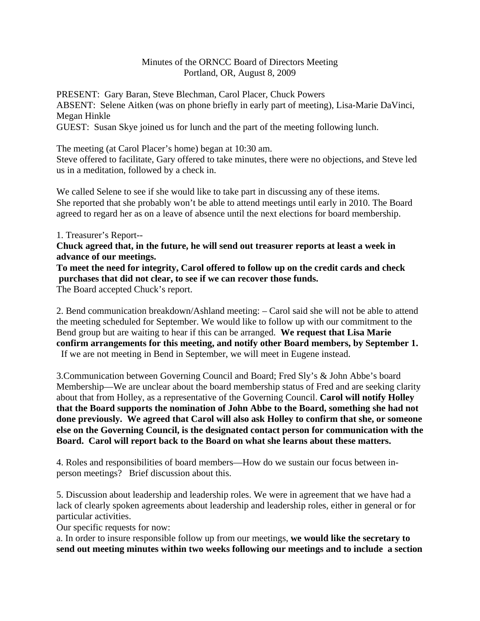## Minutes of the ORNCC Board of Directors Meeting Portland, OR, August 8, 2009

PRESENT: Gary Baran, Steve Blechman, Carol Placer, Chuck Powers ABSENT: Selene Aitken (was on phone briefly in early part of meeting), Lisa-Marie DaVinci, Megan Hinkle

GUEST: Susan Skye joined us for lunch and the part of the meeting following lunch.

The meeting (at Carol Placer's home) began at 10:30 am.

Steve offered to facilitate, Gary offered to take minutes, there were no objections, and Steve led us in a meditation, followed by a check in.

We called Selene to see if she would like to take part in discussing any of these items. She reported that she probably won't be able to attend meetings until early in 2010. The Board agreed to regard her as on a leave of absence until the next elections for board membership.

## 1. Treasurer's Report--

**Chuck agreed that, in the future, he will send out treasurer reports at least a week in advance of our meetings.** 

## **To meet the need for integrity, Carol offered to follow up on the credit cards and check purchases that did not clear, to see if we can recover those funds.**

The Board accepted Chuck's report.

2. Bend communication breakdown/Ashland meeting: – Carol said she will not be able to attend the meeting scheduled for September. We would like to follow up with our commitment to the Bend group but are waiting to hear if this can be arranged. **We request that Lisa Marie confirm arrangements for this meeting, and notify other Board members, by September 1.**  If we are not meeting in Bend in September, we will meet in Eugene instead.

3.Communication between Governing Council and Board; Fred Sly's & John Abbe's board Membership—We are unclear about the board membership status of Fred and are seeking clarity about that from Holley, as a representative of the Governing Council. **Carol will notify Holley that the Board supports the nomination of John Abbe to the Board, something she had not done previously. We agreed that Carol will also ask Holley to confirm that she, or someone else on the Governing Council, is the designated contact person for communication with the Board. Carol will report back to the Board on what she learns about these matters.**

4. Roles and responsibilities of board members—How do we sustain our focus between inperson meetings? Brief discussion about this.

5. Discussion about leadership and leadership roles. We were in agreement that we have had a lack of clearly spoken agreements about leadership and leadership roles, either in general or for particular activities.

Our specific requests for now:

a. In order to insure responsible follow up from our meetings, **we would like the secretary to send out meeting minutes within two weeks following our meetings and to include a section**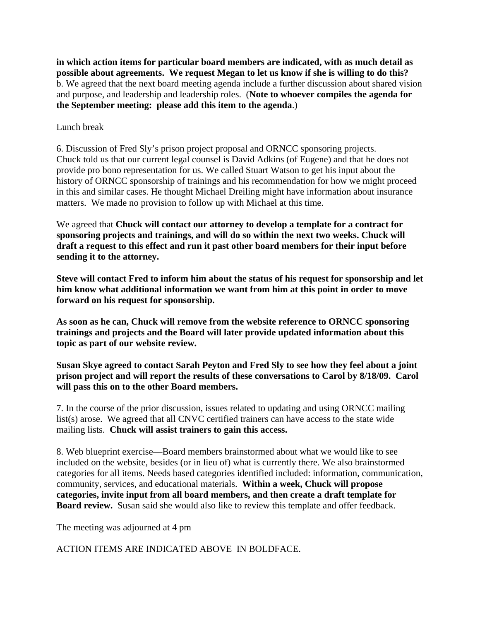**in which action items for particular board members are indicated, with as much detail as possible about agreements. We request Megan to let us know if she is willing to do this?** b. We agreed that the next board meeting agenda include a further discussion about shared vision and purpose, and leadership and leadership roles. (**Note to whoever compiles the agenda for the September meeting: please add this item to the agenda**.)

## Lunch break

6. Discussion of Fred Sly's prison project proposal and ORNCC sponsoring projects. Chuck told us that our current legal counsel is David Adkins (of Eugene) and that he does not provide pro bono representation for us. We called Stuart Watson to get his input about the history of ORNCC sponsorship of trainings and his recommendation for how we might proceed in this and similar cases. He thought Michael Dreiling might have information about insurance matters. We made no provision to follow up with Michael at this time.

We agreed that **Chuck will contact our attorney to develop a template for a contract for sponsoring projects and trainings, and will do so within the next two weeks. Chuck will draft a request to this effect and run it past other board members for their input before sending it to the attorney.**

**Steve will contact Fred to inform him about the status of his request for sponsorship and let him know what additional information we want from him at this point in order to move forward on his request for sponsorship.**

**As soon as he can, Chuck will remove from the website reference to ORNCC sponsoring trainings and projects and the Board will later provide updated information about this topic as part of our website review.** 

**Susan Skye agreed to contact Sarah Peyton and Fred Sly to see how they feel about a joint prison project and will report the results of these conversations to Carol by 8/18/09. Carol will pass this on to the other Board members.** 

7. In the course of the prior discussion, issues related to updating and using ORNCC mailing list(s) arose. We agreed that all CNVC certified trainers can have access to the state wide mailing lists. **Chuck will assist trainers to gain this access.**

8. Web blueprint exercise—Board members brainstormed about what we would like to see included on the website, besides (or in lieu of) what is currently there. We also brainstormed categories for all items. Needs based categories identified included: information, communication, community, services, and educational materials. **Within a week, Chuck will propose categories, invite input from all board members, and then create a draft template for Board review.** Susan said she would also like to review this template and offer feedback.

The meeting was adjourned at 4 pm

ACTION ITEMS ARE INDICATED ABOVE IN BOLDFACE.